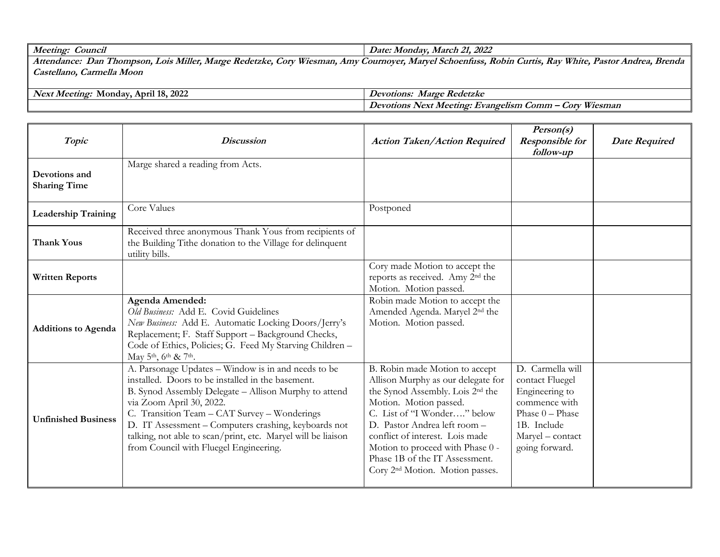| Meeting<br><i>_ouncil</i>                                                                                                                  | 1. 2022<br>Jate*<br>Monday<br>March                                                                                                                         |
|--------------------------------------------------------------------------------------------------------------------------------------------|-------------------------------------------------------------------------------------------------------------------------------------------------------------|
| TTZZ<br>$M$ ille<br>Kedetzko<br>A mv<br>Dan<br><i>Attendance:</i><br>· Wiesman.<br>' hompson.<br>.0r <sub>T</sub><br><i>Maroe</i><br>LOIS. | White<br><i><b>Brenda</b></i><br><i>Pastor</i><br><b>Kav</b><br><i><b>Robin</b></i><br>Andrea<br>n Curtis.<br><i>Journover</i><br><i>schoentuss</i><br>Marv |

**Castellano, Carmella Moon**

| 2022<br>11.40<br>ا مع ا<br>Anril<br>Monday<br>Meetino <sup>r</sup><br>10.1 | Kedetzko<br><i>evotions.</i><br>laroc<br>па                                                          |  |
|----------------------------------------------------------------------------|------------------------------------------------------------------------------------------------------|--|
|                                                                            | TTZZ<br>Next<br>_omm<br><i>evotions</i><br>Evangelism.<br>Meeting <i>M</i><br>$\omega$ or<br>Wiesman |  |

| Topic                                | <b>Discussion</b>                                                                                                                                                                                                                                                                                                                                                                                               | <b>Action Taken/Action Required</b>                                                                                                                                                                                                                                                                                                                                   | Person(s)<br><b>Responsible for</b><br>follow-up                                                                                                 | <b>Date Required</b> |
|--------------------------------------|-----------------------------------------------------------------------------------------------------------------------------------------------------------------------------------------------------------------------------------------------------------------------------------------------------------------------------------------------------------------------------------------------------------------|-----------------------------------------------------------------------------------------------------------------------------------------------------------------------------------------------------------------------------------------------------------------------------------------------------------------------------------------------------------------------|--------------------------------------------------------------------------------------------------------------------------------------------------|----------------------|
| Devotions and<br><b>Sharing Time</b> | Marge shared a reading from Acts.                                                                                                                                                                                                                                                                                                                                                                               |                                                                                                                                                                                                                                                                                                                                                                       |                                                                                                                                                  |                      |
| <b>Leadership Training</b>           | Core Values                                                                                                                                                                                                                                                                                                                                                                                                     | Postponed                                                                                                                                                                                                                                                                                                                                                             |                                                                                                                                                  |                      |
| <b>Thank Yous</b>                    | Received three anonymous Thank Yous from recipients of<br>the Building Tithe donation to the Village for delinquent<br>utility bills.                                                                                                                                                                                                                                                                           |                                                                                                                                                                                                                                                                                                                                                                       |                                                                                                                                                  |                      |
| <b>Written Reports</b>               |                                                                                                                                                                                                                                                                                                                                                                                                                 | Cory made Motion to accept the<br>reports as received. Amy 2 <sup>nd</sup> the<br>Motion. Motion passed.                                                                                                                                                                                                                                                              |                                                                                                                                                  |                      |
| <b>Additions to Agenda</b>           | Agenda Amended:<br>Old Business: Add E. Covid Guidelines<br>New Business: Add E. Automatic Locking Doors/Jerry's<br>Replacement; F. Staff Support - Background Checks,<br>Code of Ethics, Policies; G. Feed My Starving Children -<br>May 5th, 6th & 7th.                                                                                                                                                       | Robin made Motion to accept the<br>Amended Agenda. Maryel 2 <sup>nd</sup> the<br>Motion. Motion passed.                                                                                                                                                                                                                                                               |                                                                                                                                                  |                      |
| <b>Unfinished Business</b>           | A. Parsonage Updates - Window is in and needs to be<br>installed. Doors to be installed in the basement.<br>B. Synod Assembly Delegate - Allison Murphy to attend<br>via Zoom April 30, 2022.<br>C. Transition Team - CAT Survey - Wonderings<br>D. IT Assessment - Computers crashing, keyboards not<br>talking, not able to scan/print, etc. Maryel will be liaison<br>from Council with Fluegel Engineering. | B. Robin made Motion to accept<br>Allison Murphy as our delegate for<br>the Synod Assembly. Lois 2 <sup>nd</sup> the<br>Motion. Motion passed.<br>C. List of "I Wonder" below<br>D. Pastor Andrea left room -<br>conflict of interest. Lois made<br>Motion to proceed with Phase 0 -<br>Phase 1B of the IT Assessment.<br>Cory 2 <sup>nd</sup> Motion. Motion passes. | D. Carmella will<br>contact Fluegel<br>Engineering to<br>commence with<br>Phase $0$ – Phase<br>1B. Include<br>Maryel - contact<br>going forward. |                      |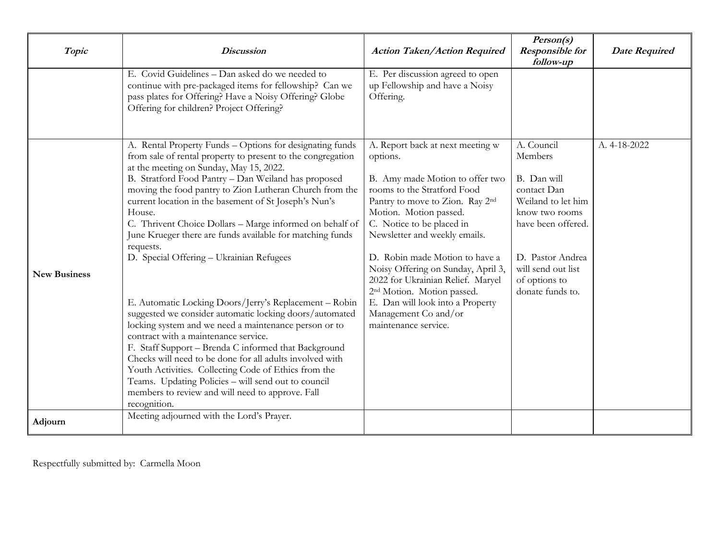| Topic               | <b>Discussion</b>                                                                                                                                                                                                                                                                                                                                                                                                                                                                                                                                                                                                                                                                                                                                                                                                                                                                                                                                                                                                                                                      | <b>Action Taken/Action Required</b>                                                                                                                                                                                                                                                                                                                                                                                                                                                  | Person(s)<br><b>Responsible for</b><br>follow-up                                                                                                                                                 | <b>Date Required</b> |
|---------------------|------------------------------------------------------------------------------------------------------------------------------------------------------------------------------------------------------------------------------------------------------------------------------------------------------------------------------------------------------------------------------------------------------------------------------------------------------------------------------------------------------------------------------------------------------------------------------------------------------------------------------------------------------------------------------------------------------------------------------------------------------------------------------------------------------------------------------------------------------------------------------------------------------------------------------------------------------------------------------------------------------------------------------------------------------------------------|--------------------------------------------------------------------------------------------------------------------------------------------------------------------------------------------------------------------------------------------------------------------------------------------------------------------------------------------------------------------------------------------------------------------------------------------------------------------------------------|--------------------------------------------------------------------------------------------------------------------------------------------------------------------------------------------------|----------------------|
|                     | E. Covid Guidelines - Dan asked do we needed to<br>continue with pre-packaged items for fellowship? Can we<br>pass plates for Offering? Have a Noisy Offering? Globe<br>Offering for children? Project Offering?                                                                                                                                                                                                                                                                                                                                                                                                                                                                                                                                                                                                                                                                                                                                                                                                                                                       | E. Per discussion agreed to open<br>up Fellowship and have a Noisy<br>Offering.                                                                                                                                                                                                                                                                                                                                                                                                      |                                                                                                                                                                                                  |                      |
| <b>New Business</b> | A. Rental Property Funds - Options for designating funds<br>from sale of rental property to present to the congregation<br>at the meeting on Sunday, May 15, 2022.<br>B. Stratford Food Pantry - Dan Weiland has proposed<br>moving the food pantry to Zion Lutheran Church from the<br>current location in the basement of St Joseph's Nun's<br>House.<br>C. Thrivent Choice Dollars - Marge informed on behalf of<br>June Krueger there are funds available for matching funds<br>requests.<br>D. Special Offering - Ukrainian Refugees<br>E. Automatic Locking Doors/Jerry's Replacement - Robin<br>suggested we consider automatic locking doors/automated<br>locking system and we need a maintenance person or to<br>contract with a maintenance service.<br>F. Staff Support - Brenda C informed that Background<br>Checks will need to be done for all adults involved with<br>Youth Activities. Collecting Code of Ethics from the<br>Teams. Updating Policies - will send out to council<br>members to review and will need to approve. Fall<br>recognition. | A. Report back at next meeting w<br>options.<br>B. Amy made Motion to offer two<br>rooms to the Stratford Food<br>Pantry to move to Zion. Ray 2nd<br>Motion. Motion passed.<br>C. Notice to be placed in<br>Newsletter and weekly emails.<br>D. Robin made Motion to have a<br>Noisy Offering on Sunday, April 3,<br>2022 for Ukrainian Relief. Maryel<br>2 <sup>nd</sup> Motion. Motion passed.<br>E. Dan will look into a Property<br>Management Co and/or<br>maintenance service. | A. Council<br>Members<br>B. Dan will<br>contact Dan<br>Weiland to let him<br>know two rooms<br>have been offered.<br>D. Pastor Andrea<br>will send out list<br>of options to<br>donate funds to. | A. 4-18-2022         |
| Adjourn             | Meeting adjourned with the Lord's Prayer.                                                                                                                                                                                                                                                                                                                                                                                                                                                                                                                                                                                                                                                                                                                                                                                                                                                                                                                                                                                                                              |                                                                                                                                                                                                                                                                                                                                                                                                                                                                                      |                                                                                                                                                                                                  |                      |

Respectfully submitted by: Carmella Moon